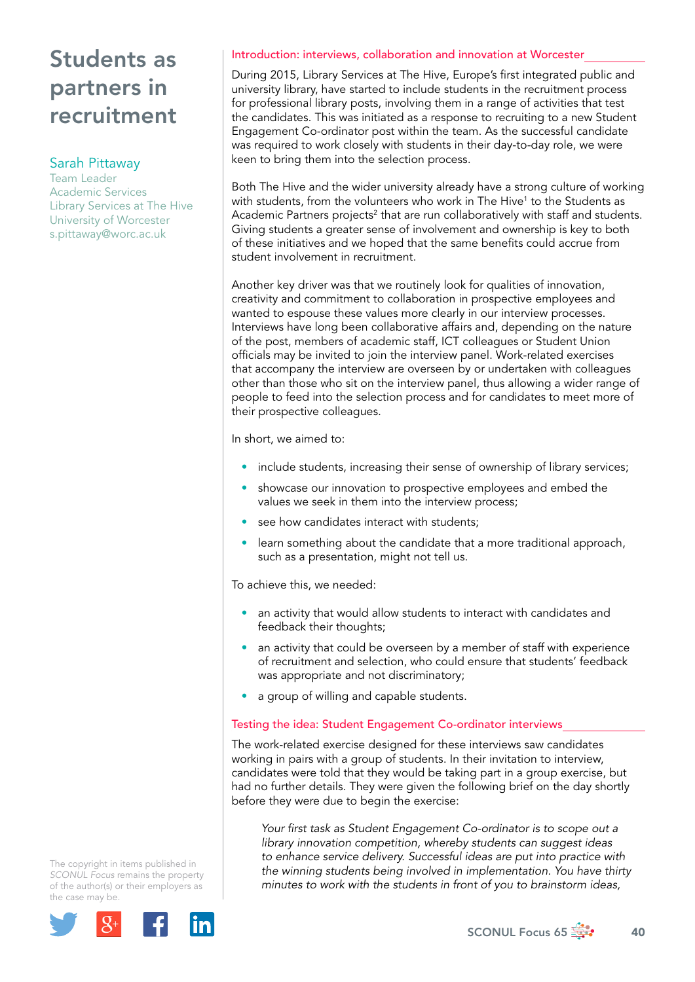### Sarah Pittaway

Team Leader Academic Services Library Services at The Hive University of Worcester [s.pittaway@worc.ac.uk](mailto:s.pittaway@worc.ac.uk)

### Introduction: interviews, collaboration and innovation at Worcester

During 2015, Library Services at The Hive, Europe's first integrated public and university library, have started to include students in the recruitment process for professional library posts, involving them in a range of activities that test the candidates. This was initiated as a response to recruiting to a new Student Engagement Co-ordinator post within the team. As the successful candidate was required to work closely with students in their day-to-day role, we were keen to bring them into the selection process.

Both The Hive and the wider university already have a strong culture of working with students, from the volunteers who work in The Hive<sup>1</sup> to the Students as Academic Partners projects<sup>2</sup> that are run collaboratively with staff and students. Giving students a greater sense of involvement and ownership is key to both of these initiatives and we hoped that the same benefits could accrue from student involvement in recruitment.

Another key driver was that we routinely look for qualities of innovation, creativity and commitment to collaboration in prospective employees and wanted to espouse these values more clearly in our interview processes. Interviews have long been collaborative affairs and, depending on the nature of the post, members of academic staff, ICT colleagues or Student Union officials may be invited to join the interview panel. Work-related exercises that accompany the interview are overseen by or undertaken with colleagues other than those who sit on the interview panel, thus allowing a wider range of people to feed into the selection process and for candidates to meet more of their prospective colleagues.

In short, we aimed to:

- include students, increasing their sense of ownership of library services;
- showcase our innovation to prospective employees and embed the values we seek in them into the interview process;
- see how candidates interact with students;
- learn something about the candidate that a more traditional approach, such as a presentation, might not tell us.

To achieve this, we needed:

- an activity that would allow students to interact with candidates and feedback their thoughts;
- an activity that could be overseen by a member of staff with experience of recruitment and selection, who could ensure that students' feedback was appropriate and not discriminatory;
- a group of willing and capable students.

#### Testing the idea: Student Engagement Co-ordinator interviews

The work-related exercise designed for these interviews saw candidates working in pairs with a group of students. In their invitation to interview, candidates were told that they would be taking part in a group exercise, but had no further details. They were given the following brief on the day shortly before they were due to begin the exercise:

*Your first task as Student Engagement Co-ordinator is to scope out a library innovation competition, whereby students can suggest ideas to enhance service delivery. Successful ideas are put into practice with the winning students being involved in implementation. You have thirty minutes to work with the students in front of you to brainstorm ideas,* 

The copyright in items published in *SCONUL Focus* remains the property of the author(s) or their employers as the case may be.



SCONUL Focus 65  $\frac{1}{200}$  40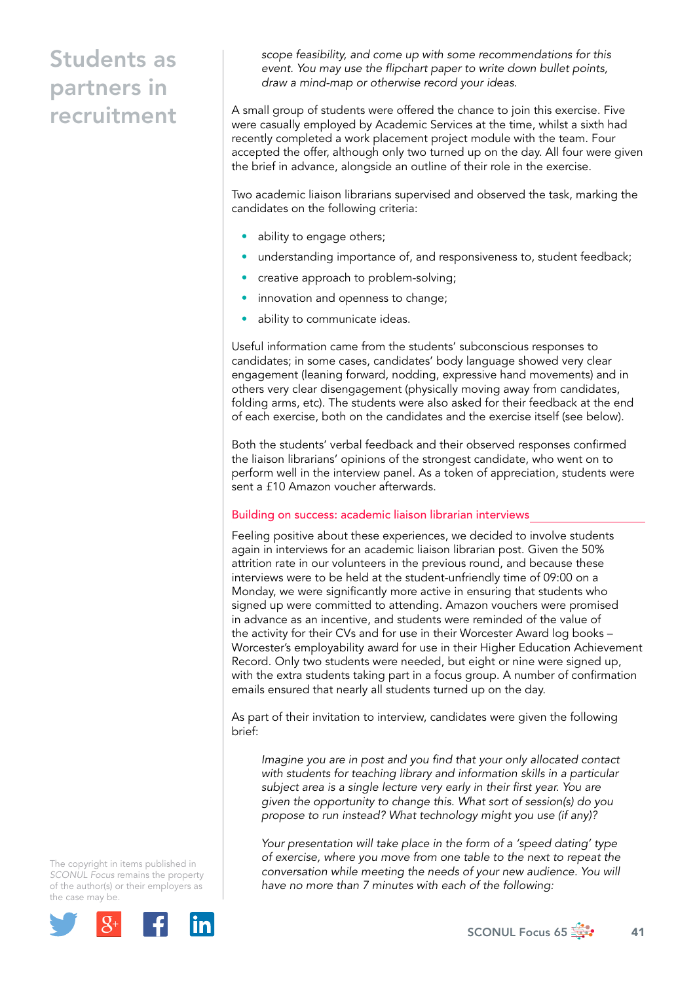*scope feasibility, and come up with some recommendations for this event. You may use the flipchart paper to write down bullet points, draw a mind-map or otherwise record your ideas.*

A small group of students were offered the chance to join this exercise. Five were casually employed by Academic Services at the time, whilst a sixth had recently completed a work placement project module with the team. Four accepted the offer, although only two turned up on the day. All four were given the brief in advance, alongside an outline of their role in the exercise.

Two academic liaison librarians supervised and observed the task, marking the candidates on the following criteria:

- ability to engage others;
- understanding importance of, and responsiveness to, student feedback;
- creative approach to problem-solving;
- innovation and openness to change;
- ability to communicate ideas.

Useful information came from the students' subconscious responses to candidates; in some cases, candidates' body language showed very clear engagement (leaning forward, nodding, expressive hand movements) and in others very clear disengagement (physically moving away from candidates, folding arms, etc). The students were also asked for their feedback at the end of each exercise, both on the candidates and the exercise itself (see below).

Both the students' verbal feedback and their observed responses confirmed the liaison librarians' opinions of the strongest candidate, who went on to perform well in the interview panel. As a token of appreciation, students were sent a £10 Amazon voucher afterwards.

#### Building on success: academic liaison librarian interviews

Feeling positive about these experiences, we decided to involve students again in interviews for an academic liaison librarian post. Given the 50% attrition rate in our volunteers in the previous round, and because these interviews were to be held at the student-unfriendly time of 09:00 on a Monday, we were significantly more active in ensuring that students who signed up were committed to attending. Amazon vouchers were promised in advance as an incentive, and students were reminded of the value of the activity for their CVs and for use in their Worcester Award log books – Worcester's employability award for use in their Higher Education Achievement Record. Only two students were needed, but eight or nine were signed up, with the extra students taking part in a focus group. A number of confirmation emails ensured that nearly all students turned up on the day.

As part of their invitation to interview, candidates were given the following brief:

*Imagine you are in post and you find that your only allocated contact*  with students for teaching library and information skills in a particular *subject area is a single lecture very early in their first year. You are given the opportunity to change this. What sort of session(s) do you propose to run instead? What technology might you use (if any)?*

*Your presentation will take place in the form of a 'speed dating' type of exercise, where you move from one table to the next to repeat the conversation while meeting the needs of your new audience. You will have no more than 7 minutes with each of the following:*

The copyright in items published in *SCONUL Focus* remains the property of the author(s) or their employers as the case may be.

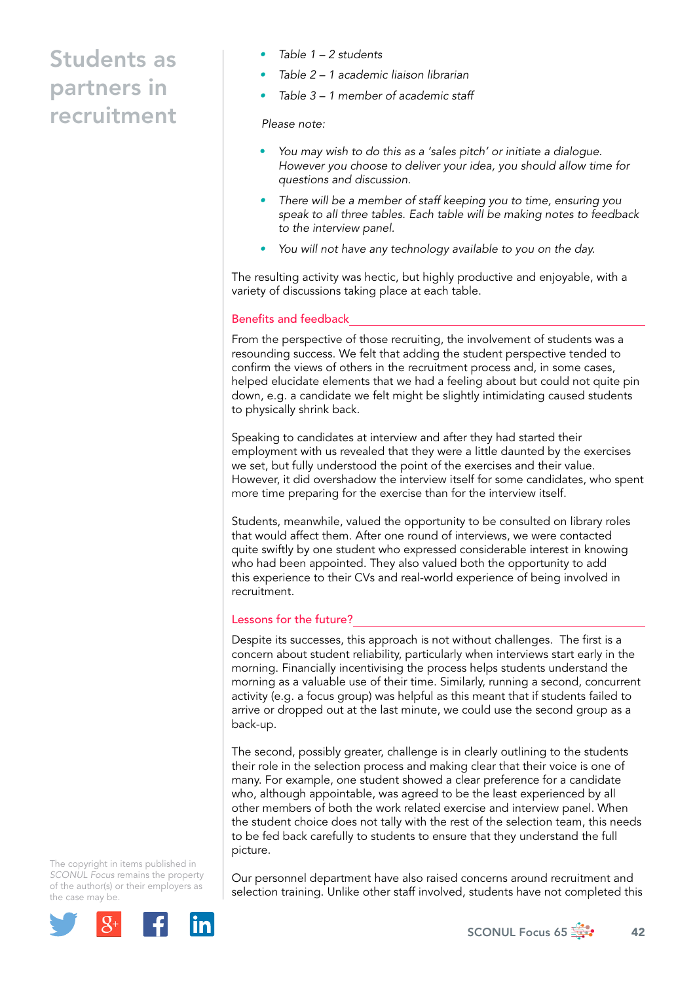- *Table 1 2 students*
- *Table 2 1 academic liaison librarian*
- *Table 3 1 member of academic staff*

#### *Please note:*

- *You may wish to do this as a 'sales pitch' or initiate a dialogue. However you choose to deliver your idea, you should allow time for questions and discussion.*
- *There will be a member of staff keeping you to time, ensuring you speak to all three tables. Each table will be making notes to feedback to the interview panel.*
- *You will not have any technology available to you on the day.*

The resulting activity was hectic, but highly productive and enjoyable, with a variety of discussions taking place at each table.

### Benefits and feedback

From the perspective of those recruiting, the involvement of students was a resounding success. We felt that adding the student perspective tended to confirm the views of others in the recruitment process and, in some cases, helped elucidate elements that we had a feeling about but could not quite pin down, e.g. a candidate we felt might be slightly intimidating caused students to physically shrink back.

Speaking to candidates at interview and after they had started their employment with us revealed that they were a little daunted by the exercises we set, but fully understood the point of the exercises and their value. However, it did overshadow the interview itself for some candidates, who spent more time preparing for the exercise than for the interview itself.

Students, meanwhile, valued the opportunity to be consulted on library roles that would affect them. After one round of interviews, we were contacted quite swiftly by one student who expressed considerable interest in knowing who had been appointed. They also valued both the opportunity to add this experience to their CVs and real-world experience of being involved in recruitment.

## Lessons for the future?

Despite its successes, this approach is not without challenges. The first is a concern about student reliability, particularly when interviews start early in the morning. Financially incentivising the process helps students understand the morning as a valuable use of their time. Similarly, running a second, concurrent activity (e.g. a focus group) was helpful as this meant that if students failed to arrive or dropped out at the last minute, we could use the second group as a back-up.

The second, possibly greater, challenge is in clearly outlining to the students their role in the selection process and making clear that their voice is one of many. For example, one student showed a clear preference for a candidate who, although appointable, was agreed to be the least experienced by all other members of both the work related exercise and interview panel. When the student choice does not tally with the rest of the selection team, this needs to be fed back carefully to students to ensure that they understand the full picture.

The copyright in items published in *SCONUL Focus* remains the property of the author(s) or their employers as the case may be.



Our personnel department have also raised concerns around recruitment and selection training. Unlike other staff involved, students have not completed this